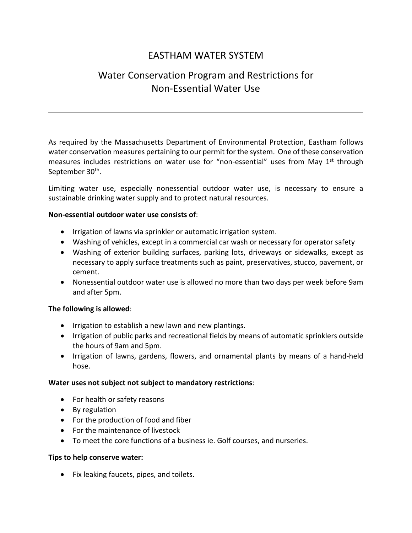## EASTHAM WATER SYSTEM

# Water Conservation Program and Restrictions for Non-Essential Water Use

As required by the Massachusetts Department of Environmental Protection, Eastham follows water conservation measures pertaining to our permit for the system. One of these conservation measures includes restrictions on water use for "non-essential" uses from May 1<sup>st</sup> through September 30<sup>th</sup>.

Limiting water use, especially nonessential outdoor water use, is necessary to ensure a sustainable drinking water supply and to protect natural resources.

### **Non-essential outdoor water use consists of**:

- Irrigation of lawns via sprinkler or automatic irrigation system.
- Washing of vehicles, except in a commercial car wash or necessary for operator safety
- Washing of exterior building surfaces, parking lots, driveways or sidewalks, except as necessary to apply surface treatments such as paint, preservatives, stucco, pavement, or cement.
- Nonessential outdoor water use is allowed no more than two days per week before 9am and after 5pm.

### **The following is allowed**:

- Irrigation to establish a new lawn and new plantings.
- Irrigation of public parks and recreational fields by means of automatic sprinklers outside the hours of 9am and 5pm.
- Irrigation of lawns, gardens, flowers, and ornamental plants by means of a hand-held hose.

### **Water uses not subject not subject to mandatory restrictions**:

- For health or safety reasons
- By regulation
- For the production of food and fiber
- For the maintenance of livestock
- To meet the core functions of a business ie. Golf courses, and nurseries.

### **Tips to help conserve water:**

• Fix leaking faucets, pipes, and toilets.